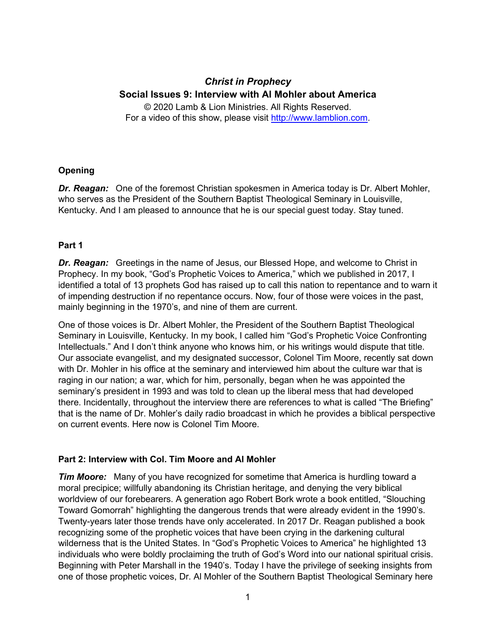# *Christ in Prophecy* **Social Issues 9: Interview with Al Mohler about America**

© 2020 Lamb & Lion Ministries. All Rights Reserved. For a video of this show, please visit [http://www.lamblion.com.](http://www.lamblion.com/)

## **Opening**

*Dr. Reagan:* One of the foremost Christian spokesmen in America today is Dr. Albert Mohler, who serves as the President of the Southern Baptist Theological Seminary in Louisville, Kentucky. And I am pleased to announce that he is our special guest today. Stay tuned.

## **Part 1**

*Dr. Reagan:* Greetings in the name of Jesus, our Blessed Hope, and welcome to Christ in Prophecy. In my book, "God's Prophetic Voices to America," which we published in 2017, I identified a total of 13 prophets God has raised up to call this nation to repentance and to warn it of impending destruction if no repentance occurs. Now, four of those were voices in the past, mainly beginning in the 1970's, and nine of them are current.

One of those voices is Dr. Albert Mohler, the President of the Southern Baptist Theological Seminary in Louisville, Kentucky. In my book, I called him "God's Prophetic Voice Confronting Intellectuals." And I don't think anyone who knows him, or his writings would dispute that title. Our associate evangelist, and my designated successor, Colonel Tim Moore, recently sat down with Dr. Mohler in his office at the seminary and interviewed him about the culture war that is raging in our nation; a war, which for him, personally, began when he was appointed the seminary's president in 1993 and was told to clean up the liberal mess that had developed there. Incidentally, throughout the interview there are references to what is called "The Briefing" that is the name of Dr. Mohler's daily radio broadcast in which he provides a biblical perspective on current events. Here now is Colonel Tim Moore.

#### **Part 2: Interview with Col. Tim Moore and Al Mohler**

*Tim Moore:* Many of you have recognized for sometime that America is hurdling toward a moral precipice; willfully abandoning its Christian heritage, and denying the very biblical worldview of our forebearers. A generation ago Robert Bork wrote a book entitled, "Slouching Toward Gomorrah" highlighting the dangerous trends that were already evident in the 1990's. Twenty-years later those trends have only accelerated. In 2017 Dr. Reagan published a book recognizing some of the prophetic voices that have been crying in the darkening cultural wilderness that is the United States. In "God's Prophetic Voices to America" he highlighted 13 individuals who were boldly proclaiming the truth of God's Word into our national spiritual crisis. Beginning with Peter Marshall in the 1940's. Today I have the privilege of seeking insights from one of those prophetic voices, Dr. Al Mohler of the Southern Baptist Theological Seminary here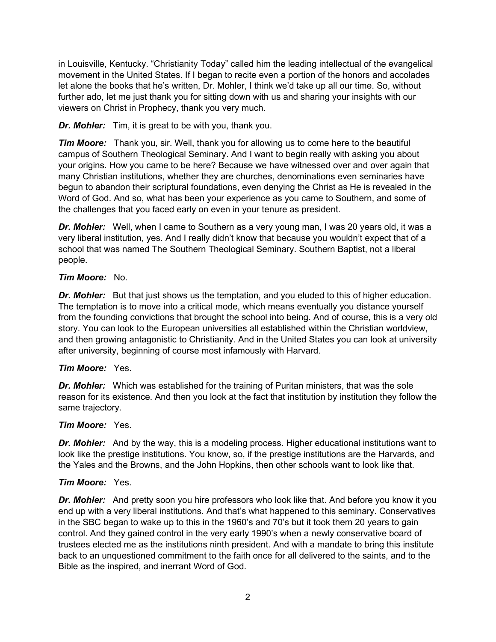in Louisville, Kentucky. "Christianity Today" called him the leading intellectual of the evangelical movement in the United States. If I began to recite even a portion of the honors and accolades let alone the books that he's written, Dr. Mohler, I think we'd take up all our time. So, without further ado, let me just thank you for sitting down with us and sharing your insights with our viewers on Christ in Prophecy, thank you very much.

*Dr. Mohler:* Tim, it is great to be with you, thank you.

*Tim Moore:* Thank you, sir. Well, thank you for allowing us to come here to the beautiful campus of Southern Theological Seminary. And I want to begin really with asking you about your origins. How you came to be here? Because we have witnessed over and over again that many Christian institutions, whether they are churches, denominations even seminaries have begun to abandon their scriptural foundations, even denying the Christ as He is revealed in the Word of God. And so, what has been your experience as you came to Southern, and some of the challenges that you faced early on even in your tenure as president.

*Dr. Mohler:* Well, when I came to Southern as a very young man, I was 20 years old, it was a very liberal institution, yes. And I really didn't know that because you wouldn't expect that of a school that was named The Southern Theological Seminary. Southern Baptist, not a liberal people.

## *Tim Moore:* No.

**Dr. Mohler:** But that just shows us the temptation, and you eluded to this of higher education. The temptation is to move into a critical mode, which means eventually you distance yourself from the founding convictions that brought the school into being. And of course, this is a very old story. You can look to the European universities all established within the Christian worldview, and then growing antagonistic to Christianity. And in the United States you can look at university after university, beginning of course most infamously with Harvard.

# *Tim Moore:* Yes.

*Dr. Mohler:* Which was established for the training of Puritan ministers, that was the sole reason for its existence. And then you look at the fact that institution by institution they follow the same trajectory.

#### *Tim Moore:* Yes.

**Dr. Mohler:** And by the way, this is a modeling process. Higher educational institutions want to look like the prestige institutions. You know, so, if the prestige institutions are the Harvards, and the Yales and the Browns, and the John Hopkins, then other schools want to look like that.

#### *Tim Moore:* Yes.

*Dr. Mohler:* And pretty soon you hire professors who look like that. And before you know it you end up with a very liberal institutions. And that's what happened to this seminary. Conservatives in the SBC began to wake up to this in the 1960's and 70's but it took them 20 years to gain control. And they gained control in the very early 1990's when a newly conservative board of trustees elected me as the institutions ninth president. And with a mandate to bring this institute back to an unquestioned commitment to the faith once for all delivered to the saints, and to the Bible as the inspired, and inerrant Word of God.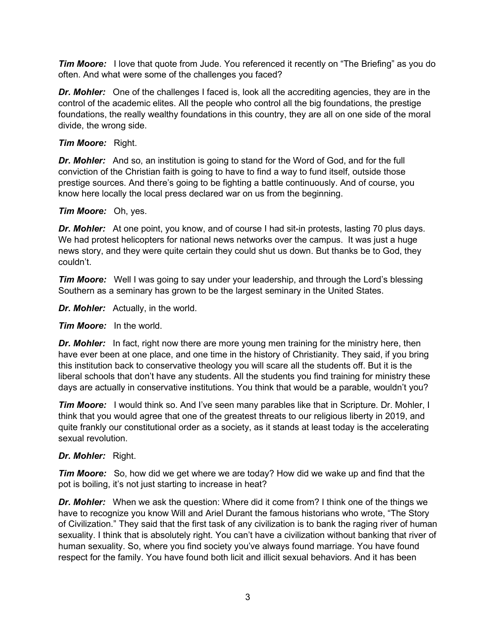*Tim Moore:* I love that quote from Jude. You referenced it recently on "The Briefing" as you do often. And what were some of the challenges you faced?

**Dr. Mohler:** One of the challenges I faced is, look all the accrediting agencies, they are in the control of the academic elites. All the people who control all the big foundations, the prestige foundations, the really wealthy foundations in this country, they are all on one side of the moral divide, the wrong side.

## *Tim Moore:* Right.

**Dr. Mohler:** And so, an institution is going to stand for the Word of God, and for the full conviction of the Christian faith is going to have to find a way to fund itself, outside those prestige sources. And there's going to be fighting a battle continuously. And of course, you know here locally the local press declared war on us from the beginning.

## *Tim Moore:* Oh, yes.

*Dr. Mohler:* At one point, you know, and of course I had sit-in protests, lasting 70 plus days. We had protest helicopters for national news networks over the campus. It was just a huge news story, and they were quite certain they could shut us down. But thanks be to God, they couldn't.

*Tim Moore:* Well I was going to say under your leadership, and through the Lord's blessing Southern as a seminary has grown to be the largest seminary in the United States.

*Dr. Mohler:* Actually, in the world.

*Tim Moore:* In the world.

**Dr. Mohler:** In fact, right now there are more young men training for the ministry here, then have ever been at one place, and one time in the history of Christianity. They said, if you bring this institution back to conservative theology you will scare all the students off. But it is the liberal schools that don't have any students. All the students you find training for ministry these days are actually in conservative institutions. You think that would be a parable, wouldn't you?

*Tim Moore:* I would think so. And I've seen many parables like that in Scripture. Dr. Mohler, I think that you would agree that one of the greatest threats to our religious liberty in 2019, and quite frankly our constitutional order as a society, as it stands at least today is the accelerating sexual revolution.

# *Dr. Mohler:* Right.

*Tim Moore:* So, how did we get where we are today? How did we wake up and find that the pot is boiling, it's not just starting to increase in heat?

*Dr. Mohler:* When we ask the question: Where did it come from? I think one of the things we have to recognize you know Will and Ariel Durant the famous historians who wrote, "The Story of Civilization." They said that the first task of any civilization is to bank the raging river of human sexuality. I think that is absolutely right. You can't have a civilization without banking that river of human sexuality. So, where you find society you've always found marriage. You have found respect for the family. You have found both licit and illicit sexual behaviors. And it has been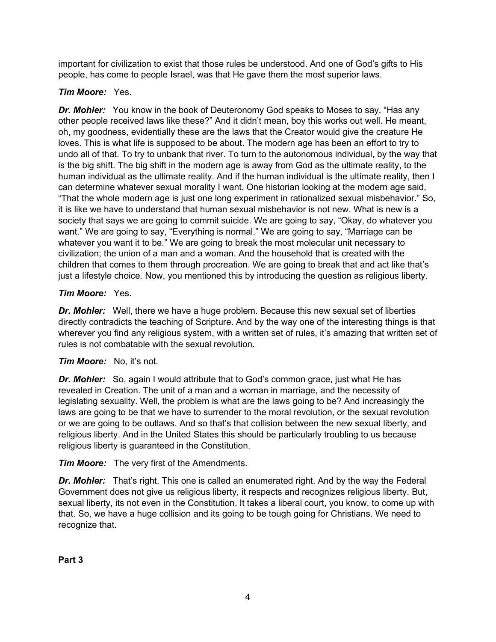important for civilization to exist that those rules be understood. And one of God's gifts to His people, has come to people Israel, was that He gave them the most superior laws.

# *Tim Moore:* Yes.

*Dr. Mohler:* You know in the book of Deuteronomy God speaks to Moses to say, "Has any other people received laws like these?" And it didn't mean, boy this works out well. He meant, oh, my goodness, evidentially these are the laws that the Creator would give the creature He loves. This is what life is supposed to be about. The modern age has been an effort to try to undo all of that. To try to unbank that river. To turn to the autonomous individual, by the way that is the big shift. The big shift in the modern age is away from God as the ultimate reality, to the human individual as the ultimate reality. And if the human individual is the ultimate reality, then I can determine whatever sexual morality I want. One historian looking at the modern age said, "That the whole modern age is just one long experiment in rationalized sexual misbehavior." So, it is like we have to understand that human sexual misbehavior is not new. What is new is a society that says we are going to commit suicide. We are going to say, "Okay, do whatever you want." We are going to say, "Everything is normal." We are going to say, "Marriage can be whatever you want it to be." We are going to break the most molecular unit necessary to civilization; the union of a man and a woman. And the household that is created with the children that comes to them through procreation. We are going to break that and act like that's just a lifestyle choice. Now, you mentioned this by introducing the question as religious liberty.

# *Tim Moore:* Yes.

*Dr. Mohler:* Well, there we have a huge problem. Because this new sexual set of liberties directly contradicts the teaching of Scripture. And by the way one of the interesting things is that wherever you find any religious system, with a written set of rules, it's amazing that written set of rules is not combatable with the sexual revolution.

# *Tim Moore:* No, it's not.

*Dr. Mohler:* So, again I would attribute that to God's common grace, just what He has revealed in Creation. The unit of a man and a woman in marriage, and the necessity of legislating sexuality. Well, the problem is what are the laws going to be? And increasingly the laws are going to be that we have to surrender to the moral revolution, or the sexual revolution or we are going to be outlaws. And so that's that collision between the new sexual liberty, and religious liberty. And in the United States this should be particularly troubling to us because religious liberty is guaranteed in the Constitution.

*Tim Moore:* The very first of the Amendments.

**Dr. Mohler:** That's right. This one is called an enumerated right. And by the way the Federal Government does not give us religious liberty, it respects and recognizes religious liberty. But, sexual liberty, its not even in the Constitution. It takes a liberal court, you know, to come up with that. So, we have a huge collision and its going to be tough going for Christians. We need to recognize that.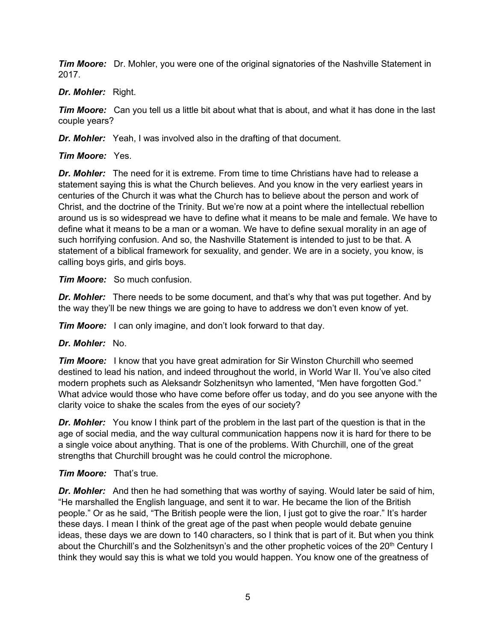*Tim Moore:* Dr. Mohler, you were one of the original signatories of the Nashville Statement in 2017.

## *Dr. Mohler:* Right.

**Tim Moore:** Can you tell us a little bit about what that is about, and what it has done in the last couple years?

*Dr. Mohler:* Yeah, I was involved also in the drafting of that document.

# *Tim Moore:* Yes.

*Dr. Mohler:* The need for it is extreme. From time to time Christians have had to release a statement saying this is what the Church believes. And you know in the very earliest years in centuries of the Church it was what the Church has to believe about the person and work of Christ, and the doctrine of the Trinity. But we're now at a point where the intellectual rebellion around us is so widespread we have to define what it means to be male and female. We have to define what it means to be a man or a woman. We have to define sexual morality in an age of such horrifying confusion. And so, the Nashville Statement is intended to just to be that. A statement of a biblical framework for sexuality, and gender. We are in a society, you know, is calling boys girls, and girls boys.

## *Tim Moore:* So much confusion.

*Dr. Mohler:* There needs to be some document, and that's why that was put together. And by the way they'll be new things we are going to have to address we don't even know of yet.

*Tim Moore:* I can only imagine, and don't look forward to that day.

# *Dr. Mohler:* No.

*Tim Moore:* I know that you have great admiration for Sir Winston Churchill who seemed destined to lead his nation, and indeed throughout the world, in World War II. You've also cited modern prophets such as Aleksandr Solzhenitsyn who lamented, "Men have forgotten God." What advice would those who have come before offer us today, and do you see anyone with the clarity voice to shake the scales from the eyes of our society?

**Dr. Mohler:** You know I think part of the problem in the last part of the question is that in the age of social media, and the way cultural communication happens now it is hard for there to be a single voice about anything. That is one of the problems. With Churchill, one of the great strengths that Churchill brought was he could control the microphone.

# *Tim Moore:* That's true.

*Dr. Mohler:* And then he had something that was worthy of saying. Would later be said of him, "He marshalled the English language, and sent it to war. He became the lion of the British people." Or as he said, "The British people were the lion, I just got to give the roar." It's harder these days. I mean I think of the great age of the past when people would debate genuine ideas, these days we are down to 140 characters, so I think that is part of it. But when you think about the Churchill's and the Solzhenitsyn's and the other prophetic voices of the  $20<sup>th</sup>$  Century I think they would say this is what we told you would happen. You know one of the greatness of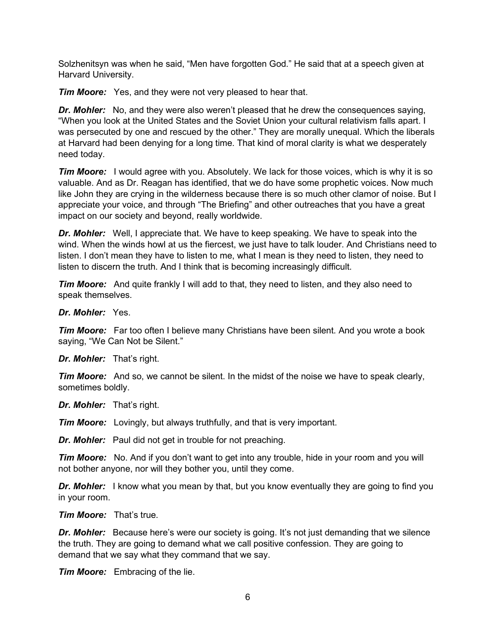Solzhenitsyn was when he said, "Men have forgotten God." He said that at a speech given at Harvard University.

*Tim Moore:* Yes, and they were not very pleased to hear that.

*Dr. Mohler:* No, and they were also weren't pleased that he drew the consequences saying, "When you look at the United States and the Soviet Union your cultural relativism falls apart. I was persecuted by one and rescued by the other." They are morally unequal. Which the liberals at Harvard had been denying for a long time. That kind of moral clarity is what we desperately need today.

*Tim Moore:* I would agree with you. Absolutely. We lack for those voices, which is why it is so valuable. And as Dr. Reagan has identified, that we do have some prophetic voices. Now much like John they are crying in the wilderness because there is so much other clamor of noise. But I appreciate your voice, and through "The Briefing" and other outreaches that you have a great impact on our society and beyond, really worldwide.

*Dr. Mohler:* Well, I appreciate that. We have to keep speaking. We have to speak into the wind. When the winds howl at us the fiercest, we just have to talk louder. And Christians need to listen. I don't mean they have to listen to me, what I mean is they need to listen, they need to listen to discern the truth. And I think that is becoming increasingly difficult.

*Tim Moore:* And quite frankly I will add to that, they need to listen, and they also need to speak themselves.

*Dr. Mohler:* Yes.

*Tim Moore:* Far too often I believe many Christians have been silent. And you wrote a book saying, "We Can Not be Silent."

*Dr. Mohler:* That's right.

*Tim Moore:* And so, we cannot be silent. In the midst of the noise we have to speak clearly, sometimes boldly.

*Dr. Mohler:* That's right.

*Tim Moore:* Lovingly, but always truthfully, and that is very important.

*Dr. Mohler:* Paul did not get in trouble for not preaching.

*Tim Moore:* No. And if you don't want to get into any trouble, hide in your room and you will not bother anyone, nor will they bother you, until they come.

*Dr. Mohler:* I know what you mean by that, but you know eventually they are going to find you in your room.

*Tim Moore:* That's true.

**Dr. Mohler:** Because here's were our society is going. It's not just demanding that we silence the truth. They are going to demand what we call positive confession. They are going to demand that we say what they command that we say.

*Tim Moore:* Embracing of the lie.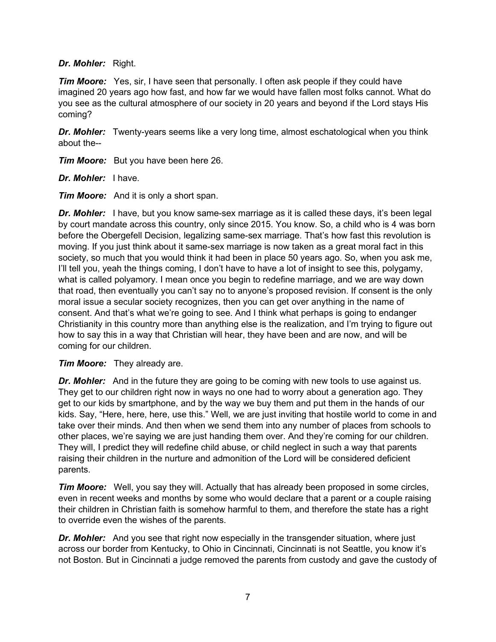#### *Dr. Mohler:* Right.

*Tim Moore:* Yes, sir, I have seen that personally. I often ask people if they could have imagined 20 years ago how fast, and how far we would have fallen most folks cannot. What do you see as the cultural atmosphere of our society in 20 years and beyond if the Lord stays His coming?

*Dr. Mohler:* Twenty-years seems like a very long time, almost eschatological when you think about the--

*Tim Moore:* But you have been here 26.

*Dr. Mohler:* I have.

*Tim Moore:* And it is only a short span.

**Dr. Mohler:** I have, but you know same-sex marriage as it is called these days, it's been legal by court mandate across this country, only since 2015. You know. So, a child who is 4 was born before the Obergefell Decision, legalizing same-sex marriage. That's how fast this revolution is moving. If you just think about it same-sex marriage is now taken as a great moral fact in this society, so much that you would think it had been in place 50 years ago. So, when you ask me, I'll tell you, yeah the things coming, I don't have to have a lot of insight to see this, polygamy, what is called polyamory. I mean once you begin to redefine marriage, and we are way down that road, then eventually you can't say no to anyone's proposed revision. If consent is the only moral issue a secular society recognizes, then you can get over anything in the name of consent. And that's what we're going to see. And I think what perhaps is going to endanger Christianity in this country more than anything else is the realization, and I'm trying to figure out how to say this in a way that Christian will hear, they have been and are now, and will be coming for our children.

*Tim Moore:* They already are.

*Dr. Mohler:* And in the future they are going to be coming with new tools to use against us. They get to our children right now in ways no one had to worry about a generation ago. They get to our kids by smartphone, and by the way we buy them and put them in the hands of our kids. Say, "Here, here, here, use this." Well, we are just inviting that hostile world to come in and take over their minds. And then when we send them into any number of places from schools to other places, we're saying we are just handing them over. And they're coming for our children. They will, I predict they will redefine child abuse, or child neglect in such a way that parents raising their children in the nurture and admonition of the Lord will be considered deficient parents.

*Tim Moore:* Well, you say they will. Actually that has already been proposed in some circles, even in recent weeks and months by some who would declare that a parent or a couple raising their children in Christian faith is somehow harmful to them, and therefore the state has a right to override even the wishes of the parents.

*Dr. Mohler:* And you see that right now especially in the transgender situation, where just across our border from Kentucky, to Ohio in Cincinnati, Cincinnati is not Seattle, you know it's not Boston. But in Cincinnati a judge removed the parents from custody and gave the custody of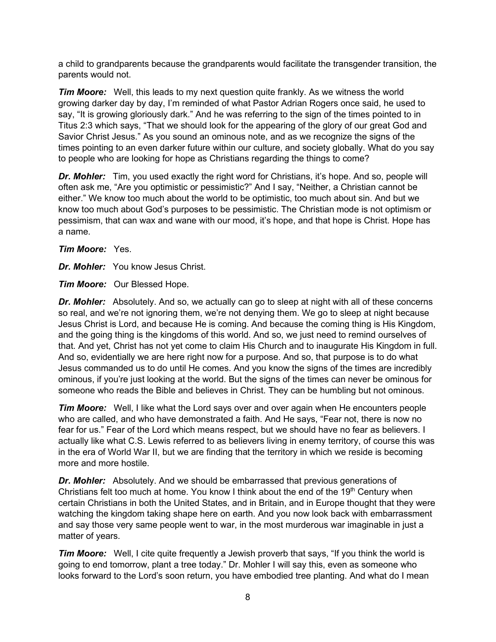a child to grandparents because the grandparents would facilitate the transgender transition, the parents would not.

*Tim Moore:* Well, this leads to my next question quite frankly. As we witness the world growing darker day by day, I'm reminded of what Pastor Adrian Rogers once said, he used to say, "It is growing gloriously dark." And he was referring to the sign of the times pointed to in Titus 2:3 which says, "That we should look for the appearing of the glory of our great God and Savior Christ Jesus." As you sound an ominous note, and as we recognize the signs of the times pointing to an even darker future within our culture, and society globally. What do you say to people who are looking for hope as Christians regarding the things to come?

*Dr. Mohler:* Tim, you used exactly the right word for Christians, it's hope. And so, people will often ask me, "Are you optimistic or pessimistic?" And I say, "Neither, a Christian cannot be either." We know too much about the world to be optimistic, too much about sin. And but we know too much about God's purposes to be pessimistic. The Christian mode is not optimism or pessimism, that can wax and wane with our mood, it's hope, and that hope is Christ. Hope has a name.

*Tim Moore:* Yes.

*Dr. Mohler:* You know Jesus Christ.

*Tim Moore:* Our Blessed Hope.

*Dr. Mohler:* Absolutely. And so, we actually can go to sleep at night with all of these concerns so real, and we're not ignoring them, we're not denying them. We go to sleep at night because Jesus Christ is Lord, and because He is coming. And because the coming thing is His Kingdom, and the going thing is the kingdoms of this world. And so, we just need to remind ourselves of that. And yet, Christ has not yet come to claim His Church and to inaugurate His Kingdom in full. And so, evidentially we are here right now for a purpose. And so, that purpose is to do what Jesus commanded us to do until He comes. And you know the signs of the times are incredibly ominous, if you're just looking at the world. But the signs of the times can never be ominous for someone who reads the Bible and believes in Christ. They can be humbling but not ominous.

*Tim Moore:* Well, I like what the Lord says over and over again when He encounters people who are called, and who have demonstrated a faith. And He says, "Fear not, there is now no fear for us." Fear of the Lord which means respect, but we should have no fear as believers. I actually like what C.S. Lewis referred to as believers living in enemy territory, of course this was in the era of World War II, but we are finding that the territory in which we reside is becoming more and more hostile.

*Dr. Mohler:* Absolutely. And we should be embarrassed that previous generations of Christians felt too much at home. You know I think about the end of the 19<sup>th</sup> Century when certain Christians in both the United States, and in Britain, and in Europe thought that they were watching the kingdom taking shape here on earth. And you now look back with embarrassment and say those very same people went to war, in the most murderous war imaginable in just a matter of years.

*Tim Moore:* Well, I cite quite frequently a Jewish proverb that says, "If you think the world is going to end tomorrow, plant a tree today." Dr. Mohler I will say this, even as someone who looks forward to the Lord's soon return, you have embodied tree planting. And what do I mean